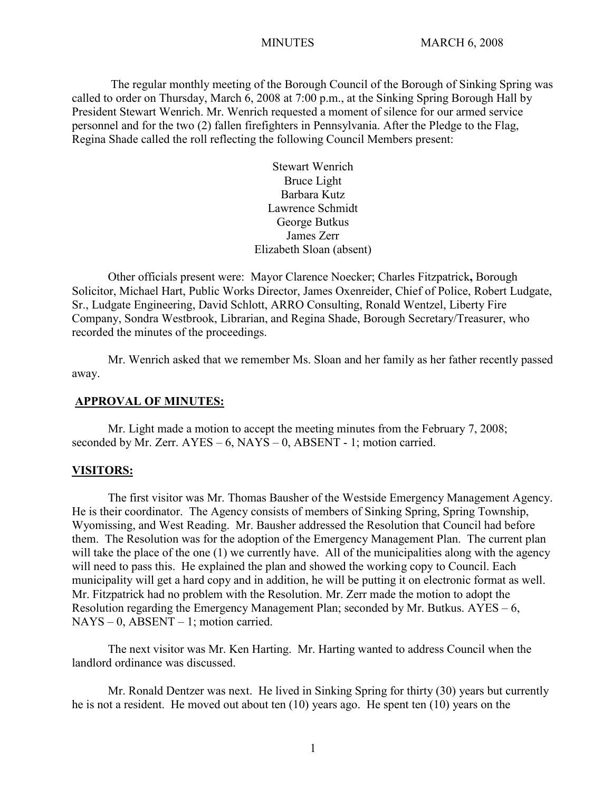The regular monthly meeting of the Borough Council of the Borough of Sinking Spring was called to order on Thursday, March 6, 2008 at 7:00 p.m., at the Sinking Spring Borough Hall by President Stewart Wenrich. Mr. Wenrich requested a moment of silence for our armed service personnel and for the two (2) fallen firefighters in Pennsylvania. After the Pledge to the Flag, Regina Shade called the roll reflecting the following Council Members present:

> Stewart Wenrich Bruce Light Barbara Kutz Lawrence Schmidt George Butkus James Zerr Elizabeth Sloan (absent)

Other officials present were: Mayor Clarence Noecker; Charles Fitzpatrick**,** Borough Solicitor, Michael Hart, Public Works Director, James Oxenreider, Chief of Police, Robert Ludgate, Sr., Ludgate Engineering, David Schlott, ARRO Consulting, Ronald Wentzel, Liberty Fire Company, Sondra Westbrook, Librarian, and Regina Shade, Borough Secretary/Treasurer, who recorded the minutes of the proceedings.

Mr. Wenrich asked that we remember Ms. Sloan and her family as her father recently passed away.

#### **APPROVAL OF MINUTES:**

Mr. Light made a motion to accept the meeting minutes from the February 7, 2008; seconded by Mr. Zerr. AYES – 6, NAYS – 0, ABSENT - 1; motion carried.

#### **VISITORS:**

The first visitor was Mr. Thomas Bausher of the Westside Emergency Management Agency. He is their coordinator. The Agency consists of members of Sinking Spring, Spring Township, Wyomissing, and West Reading. Mr. Bausher addressed the Resolution that Council had before them. The Resolution was for the adoption of the Emergency Management Plan. The current plan will take the place of the one (1) we currently have. All of the municipalities along with the agency will need to pass this. He explained the plan and showed the working copy to Council. Each municipality will get a hard copy and in addition, he will be putting it on electronic format as well. Mr. Fitzpatrick had no problem with the Resolution. Mr. Zerr made the motion to adopt the Resolution regarding the Emergency Management Plan; seconded by Mr. Butkus.  $AYES - 6$ ,  $NAYS - 0$ ,  $ABSENT - 1$ ; motion carried.

The next visitor was Mr. Ken Harting. Mr. Harting wanted to address Council when the landlord ordinance was discussed.

Mr. Ronald Dentzer was next. He lived in Sinking Spring for thirty (30) years but currently he is not a resident. He moved out about ten (10) years ago. He spent ten (10) years on the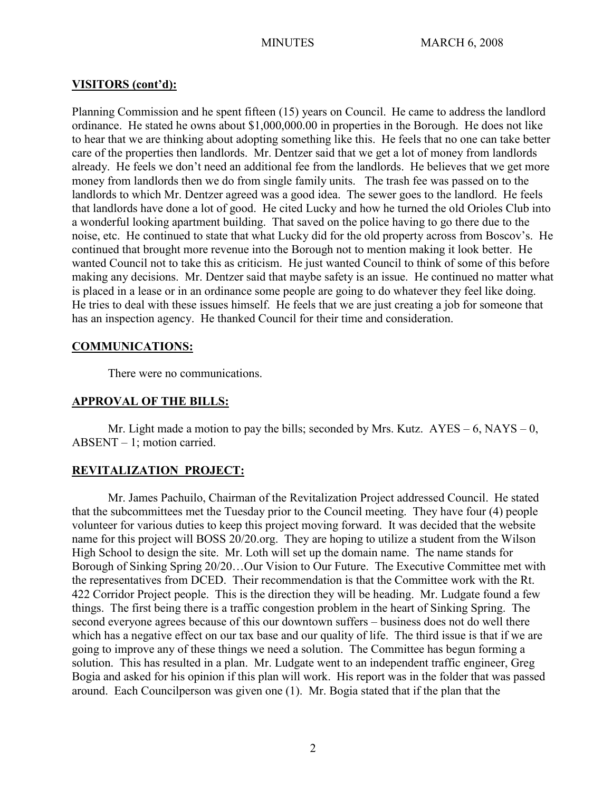## **VISITORS (cont'd):**

Planning Commission and he spent fifteen (15) years on Council. He came to address the landlord ordinance. He stated he owns about \$1,000,000.00 in properties in the Borough. He does not like to hear that we are thinking about adopting something like this. He feels that no one can take better care of the properties then landlords. Mr. Dentzer said that we get a lot of money from landlords already. He feels we don't need an additional fee from the landlords. He believes that we get more money from landlords then we do from single family units. The trash fee was passed on to the landlords to which Mr. Dentzer agreed was a good idea. The sewer goes to the landlord. He feels that landlords have done a lot of good. He cited Lucky and how he turned the old Orioles Club into a wonderful looking apartment building. That saved on the police having to go there due to the noise, etc. He continued to state that what Lucky did for the old property across from Boscov's. He continued that brought more revenue into the Borough not to mention making it look better. He wanted Council not to take this as criticism. He just wanted Council to think of some of this before making any decisions. Mr. Dentzer said that maybe safety is an issue. He continued no matter what is placed in a lease or in an ordinance some people are going to do whatever they feel like doing. He tries to deal with these issues himself. He feels that we are just creating a job for someone that has an inspection agency. He thanked Council for their time and consideration.

## **COMMUNICATIONS:**

There were no communications.

# **APPROVAL OF THE BILLS:**

Mr. Light made a motion to pay the bills; seconded by Mrs. Kutz.  $AYES - 6$ , NAYS – 0, ABSENT – 1; motion carried.

# **REVITALIZATION PROJECT:**

Mr. James Pachuilo, Chairman of the Revitalization Project addressed Council. He stated that the subcommittees met the Tuesday prior to the Council meeting. They have four (4) people volunteer for various duties to keep this project moving forward. It was decided that the website name for this project will BOSS 20/20.org. They are hoping to utilize a student from the Wilson High School to design the site. Mr. Loth will set up the domain name. The name stands for Borough of Sinking Spring 20/20…Our Vision to Our Future. The Executive Committee met with the representatives from DCED. Their recommendation is that the Committee work with the Rt. 422 Corridor Project people. This is the direction they will be heading. Mr. Ludgate found a few things. The first being there is a traffic congestion problem in the heart of Sinking Spring. The second everyone agrees because of this our downtown suffers – business does not do well there which has a negative effect on our tax base and our quality of life. The third issue is that if we are going to improve any of these things we need a solution. The Committee has begun forming a solution. This has resulted in a plan. Mr. Ludgate went to an independent traffic engineer, Greg Bogia and asked for his opinion if this plan will work. His report was in the folder that was passed around. Each Councilperson was given one (1). Mr. Bogia stated that if the plan that the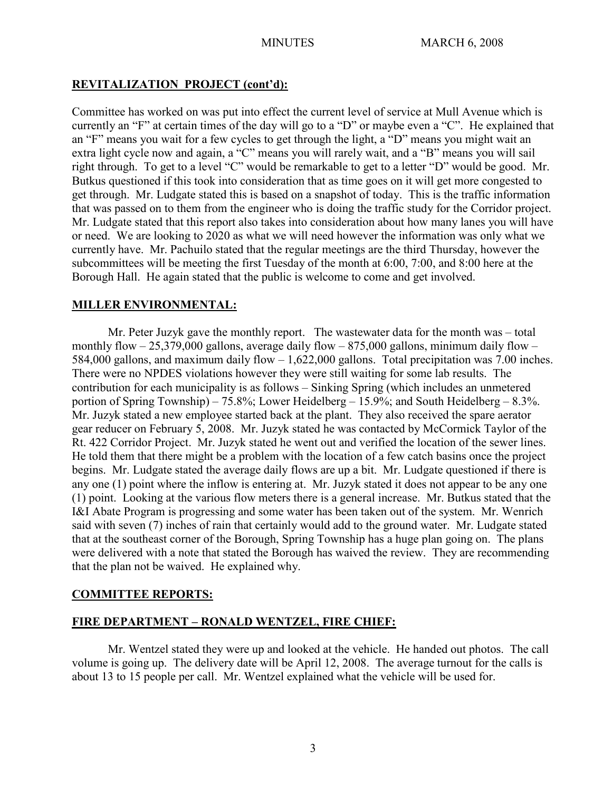# **REVITALIZATION PROJECT (cont'd):**

Committee has worked on was put into effect the current level of service at Mull Avenue which is currently an "F" at certain times of the day will go to a "D" or maybe even a "C". He explained that an "F" means you wait for a few cycles to get through the light, a "D" means you might wait an extra light cycle now and again, a "C" means you will rarely wait, and a "B" means you will sail right through. To get to a level "C" would be remarkable to get to a letter "D" would be good. Mr. Butkus questioned if this took into consideration that as time goes on it will get more congested to get through. Mr. Ludgate stated this is based on a snapshot of today. This is the traffic information that was passed on to them from the engineer who is doing the traffic study for the Corridor project. Mr. Ludgate stated that this report also takes into consideration about how many lanes you will have or need. We are looking to 2020 as what we will need however the information was only what we currently have. Mr. Pachuilo stated that the regular meetings are the third Thursday, however the subcommittees will be meeting the first Tuesday of the month at 6:00, 7:00, and 8:00 here at the Borough Hall. He again stated that the public is welcome to come and get involved.

# **MILLER ENVIRONMENTAL:**

Mr. Peter Juzyk gave the monthly report. The wastewater data for the month was – total monthly flow  $-25,379,000$  gallons, average daily flow  $-875,000$  gallons, minimum daily flow  $-$ 584,000 gallons, and maximum daily flow – 1,622,000 gallons. Total precipitation was 7.00 inches. There were no NPDES violations however they were still waiting for some lab results. The contribution for each municipality is as follows – Sinking Spring (which includes an unmetered portion of Spring Township) – 75.8%; Lower Heidelberg – 15.9%; and South Heidelberg – 8.3%. Mr. Juzyk stated a new employee started back at the plant. They also received the spare aerator gear reducer on February 5, 2008. Mr. Juzyk stated he was contacted by McCormick Taylor of the Rt. 422 Corridor Project. Mr. Juzyk stated he went out and verified the location of the sewer lines. He told them that there might be a problem with the location of a few catch basins once the project begins. Mr. Ludgate stated the average daily flows are up a bit. Mr. Ludgate questioned if there is any one (1) point where the inflow is entering at. Mr. Juzyk stated it does not appear to be any one (1) point. Looking at the various flow meters there is a general increase. Mr. Butkus stated that the I&I Abate Program is progressing and some water has been taken out of the system. Mr. Wenrich said with seven (7) inches of rain that certainly would add to the ground water. Mr. Ludgate stated that at the southeast corner of the Borough, Spring Township has a huge plan going on. The plans were delivered with a note that stated the Borough has waived the review. They are recommending that the plan not be waived. He explained why.

# **COMMITTEE REPORTS:**

# **FIRE DEPARTMENT – RONALD WENTZEL, FIRE CHIEF:**

Mr. Wentzel stated they were up and looked at the vehicle. He handed out photos. The call volume is going up. The delivery date will be April 12, 2008. The average turnout for the calls is about 13 to 15 people per call. Mr. Wentzel explained what the vehicle will be used for.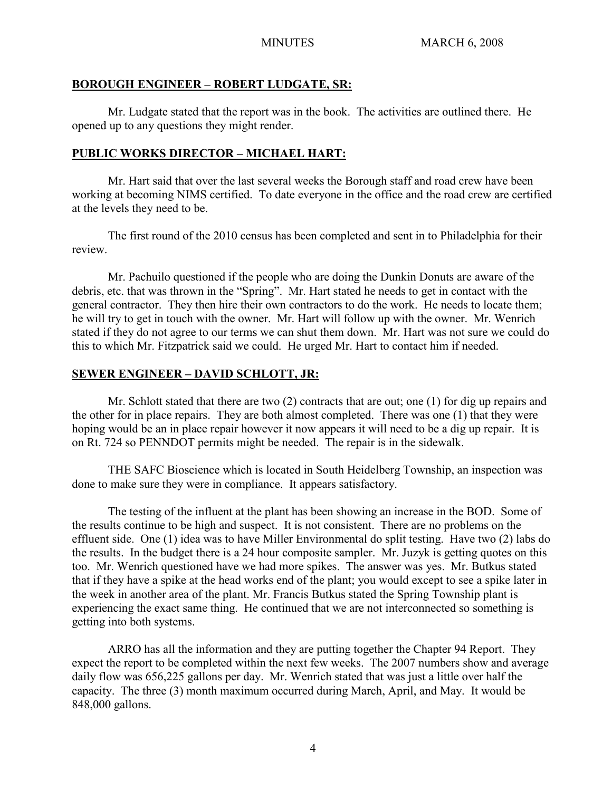## **BOROUGH ENGINEER – ROBERT LUDGATE, SR:**

Mr. Ludgate stated that the report was in the book. The activities are outlined there. He opened up to any questions they might render.

# **PUBLIC WORKS DIRECTOR – MICHAEL HART:**

Mr. Hart said that over the last several weeks the Borough staff and road crew have been working at becoming NIMS certified. To date everyone in the office and the road crew are certified at the levels they need to be.

The first round of the 2010 census has been completed and sent in to Philadelphia for their review.

Mr. Pachuilo questioned if the people who are doing the Dunkin Donuts are aware of the debris, etc. that was thrown in the "Spring". Mr. Hart stated he needs to get in contact with the general contractor. They then hire their own contractors to do the work. He needs to locate them; he will try to get in touch with the owner. Mr. Hart will follow up with the owner. Mr. Wenrich stated if they do not agree to our terms we can shut them down. Mr. Hart was not sure we could do this to which Mr. Fitzpatrick said we could. He urged Mr. Hart to contact him if needed.

# **SEWER ENGINEER – DAVID SCHLOTT, JR:**

Mr. Schlott stated that there are two (2) contracts that are out; one (1) for dig up repairs and the other for in place repairs. They are both almost completed. There was one (1) that they were hoping would be an in place repair however it now appears it will need to be a dig up repair. It is on Rt. 724 so PENNDOT permits might be needed. The repair is in the sidewalk.

THE SAFC Bioscience which is located in South Heidelberg Township, an inspection was done to make sure they were in compliance. It appears satisfactory.

The testing of the influent at the plant has been showing an increase in the BOD. Some of the results continue to be high and suspect. It is not consistent. There are no problems on the effluent side. One (1) idea was to have Miller Environmental do split testing. Have two (2) labs do the results. In the budget there is a 24 hour composite sampler. Mr. Juzyk is getting quotes on this too. Mr. Wenrich questioned have we had more spikes. The answer was yes. Mr. Butkus stated that if they have a spike at the head works end of the plant; you would except to see a spike later in the week in another area of the plant. Mr. Francis Butkus stated the Spring Township plant is experiencing the exact same thing. He continued that we are not interconnected so something is getting into both systems.

ARRO has all the information and they are putting together the Chapter 94 Report. They expect the report to be completed within the next few weeks. The 2007 numbers show and average daily flow was 656,225 gallons per day. Mr. Wenrich stated that was just a little over half the capacity. The three (3) month maximum occurred during March, April, and May. It would be 848,000 gallons.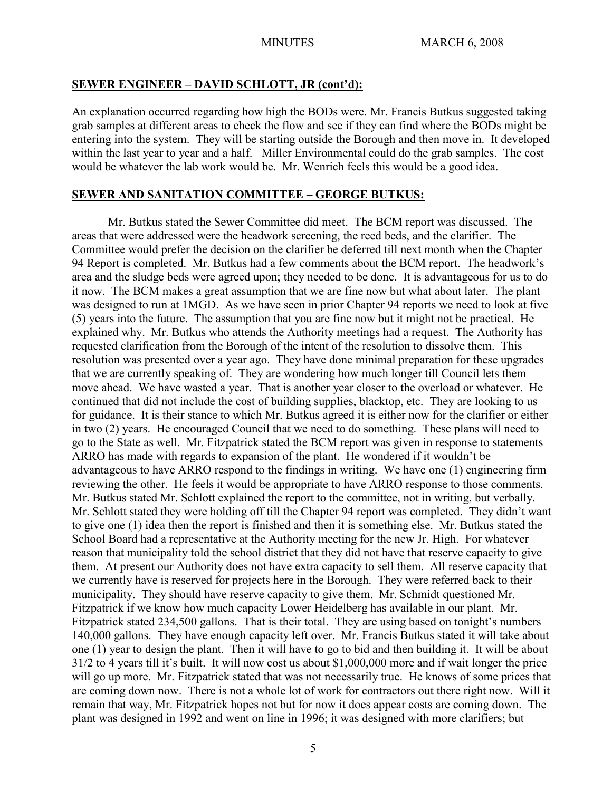#### **SEWER ENGINEER – DAVID SCHLOTT, JR (cont'd):**

An explanation occurred regarding how high the BODs were. Mr. Francis Butkus suggested taking grab samples at different areas to check the flow and see if they can find where the BODs might be entering into the system. They will be starting outside the Borough and then move in. It developed within the last year to year and a half. Miller Environmental could do the grab samples. The cost would be whatever the lab work would be. Mr. Wenrich feels this would be a good idea.

#### **SEWER AND SANITATION COMMITTEE – GEORGE BUTKUS:**

Mr. Butkus stated the Sewer Committee did meet. The BCM report was discussed. The areas that were addressed were the headwork screening, the reed beds, and the clarifier. The Committee would prefer the decision on the clarifier be deferred till next month when the Chapter 94 Report is completed. Mr. Butkus had a few comments about the BCM report. The headwork's area and the sludge beds were agreed upon; they needed to be done. It is advantageous for us to do it now. The BCM makes a great assumption that we are fine now but what about later. The plant was designed to run at 1MGD. As we have seen in prior Chapter 94 reports we need to look at five (5) years into the future. The assumption that you are fine now but it might not be practical. He explained why. Mr. Butkus who attends the Authority meetings had a request. The Authority has requested clarification from the Borough of the intent of the resolution to dissolve them. This resolution was presented over a year ago. They have done minimal preparation for these upgrades that we are currently speaking of. They are wondering how much longer till Council lets them move ahead. We have wasted a year. That is another year closer to the overload or whatever. He continued that did not include the cost of building supplies, blacktop, etc. They are looking to us for guidance. It is their stance to which Mr. Butkus agreed it is either now for the clarifier or either in two (2) years. He encouraged Council that we need to do something. These plans will need to go to the State as well. Mr. Fitzpatrick stated the BCM report was given in response to statements ARRO has made with regards to expansion of the plant. He wondered if it wouldn't be advantageous to have ARRO respond to the findings in writing. We have one (1) engineering firm reviewing the other. He feels it would be appropriate to have ARRO response to those comments. Mr. Butkus stated Mr. Schlott explained the report to the committee, not in writing, but verbally. Mr. Schlott stated they were holding off till the Chapter 94 report was completed. They didn't want to give one (1) idea then the report is finished and then it is something else. Mr. Butkus stated the School Board had a representative at the Authority meeting for the new Jr. High. For whatever reason that municipality told the school district that they did not have that reserve capacity to give them. At present our Authority does not have extra capacity to sell them. All reserve capacity that we currently have is reserved for projects here in the Borough. They were referred back to their municipality. They should have reserve capacity to give them. Mr. Schmidt questioned Mr. Fitzpatrick if we know how much capacity Lower Heidelberg has available in our plant. Mr. Fitzpatrick stated 234,500 gallons. That is their total. They are using based on tonight's numbers 140,000 gallons. They have enough capacity left over. Mr. Francis Butkus stated it will take about one (1) year to design the plant. Then it will have to go to bid and then building it. It will be about 31/2 to 4 years till it's built. It will now cost us about \$1,000,000 more and if wait longer the price will go up more. Mr. Fitzpatrick stated that was not necessarily true. He knows of some prices that are coming down now. There is not a whole lot of work for contractors out there right now. Will it remain that way, Mr. Fitzpatrick hopes not but for now it does appear costs are coming down. The plant was designed in 1992 and went on line in 1996; it was designed with more clarifiers; but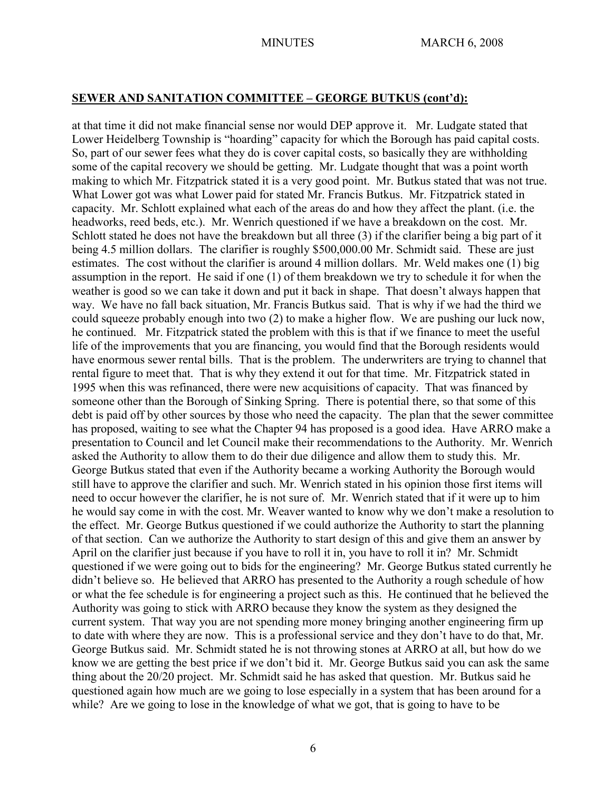## **SEWER AND SANITATION COMMITTEE – GEORGE BUTKUS (cont'd):**

at that time it did not make financial sense nor would DEP approve it. Mr. Ludgate stated that Lower Heidelberg Township is "hoarding" capacity for which the Borough has paid capital costs. So, part of our sewer fees what they do is cover capital costs, so basically they are withholding some of the capital recovery we should be getting. Mr. Ludgate thought that was a point worth making to which Mr. Fitzpatrick stated it is a very good point. Mr. Butkus stated that was not true. What Lower got was what Lower paid for stated Mr. Francis Butkus. Mr. Fitzpatrick stated in capacity. Mr. Schlott explained what each of the areas do and how they affect the plant. (i.e. the headworks, reed beds, etc.). Mr. Wenrich questioned if we have a breakdown on the cost. Mr. Schlott stated he does not have the breakdown but all three (3) if the clarifier being a big part of it being 4.5 million dollars. The clarifier is roughly \$500,000.00 Mr. Schmidt said. These are just estimates. The cost without the clarifier is around 4 million dollars. Mr. Weld makes one (1) big assumption in the report. He said if one (1) of them breakdown we try to schedule it for when the weather is good so we can take it down and put it back in shape. That doesn't always happen that way. We have no fall back situation, Mr. Francis Butkus said. That is why if we had the third we could squeeze probably enough into two (2) to make a higher flow. We are pushing our luck now, he continued. Mr. Fitzpatrick stated the problem with this is that if we finance to meet the useful life of the improvements that you are financing, you would find that the Borough residents would have enormous sewer rental bills. That is the problem. The underwriters are trying to channel that rental figure to meet that. That is why they extend it out for that time. Mr. Fitzpatrick stated in 1995 when this was refinanced, there were new acquisitions of capacity. That was financed by someone other than the Borough of Sinking Spring. There is potential there, so that some of this debt is paid off by other sources by those who need the capacity. The plan that the sewer committee has proposed, waiting to see what the Chapter 94 has proposed is a good idea. Have ARRO make a presentation to Council and let Council make their recommendations to the Authority. Mr. Wenrich asked the Authority to allow them to do their due diligence and allow them to study this. Mr. George Butkus stated that even if the Authority became a working Authority the Borough would still have to approve the clarifier and such. Mr. Wenrich stated in his opinion those first items will need to occur however the clarifier, he is not sure of. Mr. Wenrich stated that if it were up to him he would say come in with the cost. Mr. Weaver wanted to know why we don't make a resolution to the effect. Mr. George Butkus questioned if we could authorize the Authority to start the planning of that section. Can we authorize the Authority to start design of this and give them an answer by April on the clarifier just because if you have to roll it in, you have to roll it in? Mr. Schmidt questioned if we were going out to bids for the engineering? Mr. George Butkus stated currently he didn't believe so. He believed that ARRO has presented to the Authority a rough schedule of how or what the fee schedule is for engineering a project such as this. He continued that he believed the Authority was going to stick with ARRO because they know the system as they designed the current system. That way you are not spending more money bringing another engineering firm up to date with where they are now. This is a professional service and they don't have to do that, Mr. George Butkus said. Mr. Schmidt stated he is not throwing stones at ARRO at all, but how do we know we are getting the best price if we don't bid it. Mr. George Butkus said you can ask the same thing about the 20/20 project. Mr. Schmidt said he has asked that question. Mr. Butkus said he questioned again how much are we going to lose especially in a system that has been around for a while? Are we going to lose in the knowledge of what we got, that is going to have to be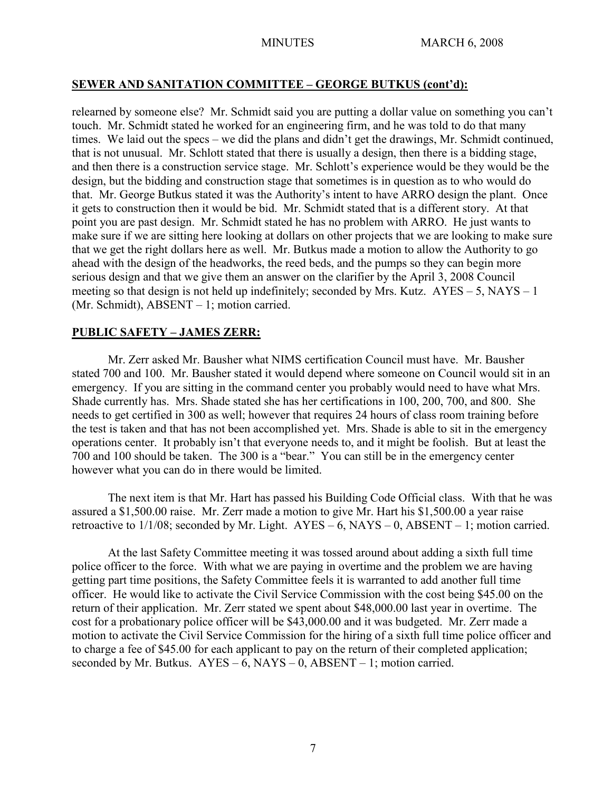# **SEWER AND SANITATION COMMITTEE – GEORGE BUTKUS (cont'd):**

relearned by someone else? Mr. Schmidt said you are putting a dollar value on something you can't touch. Mr. Schmidt stated he worked for an engineering firm, and he was told to do that many times. We laid out the specs – we did the plans and didn't get the drawings, Mr. Schmidt continued, that is not unusual. Mr. Schlott stated that there is usually a design, then there is a bidding stage, and then there is a construction service stage. Mr. Schlott's experience would be they would be the design, but the bidding and construction stage that sometimes is in question as to who would do that. Mr. George Butkus stated it was the Authority's intent to have ARRO design the plant. Once it gets to construction then it would be bid. Mr. Schmidt stated that is a different story. At that point you are past design. Mr. Schmidt stated he has no problem with ARRO. He just wants to make sure if we are sitting here looking at dollars on other projects that we are looking to make sure that we get the right dollars here as well. Mr. Butkus made a motion to allow the Authority to go ahead with the design of the headworks, the reed beds, and the pumps so they can begin more serious design and that we give them an answer on the clarifier by the April 3, 2008 Council meeting so that design is not held up indefinitely; seconded by Mrs. Kutz.  $AYES - 5$ , NAYS – 1 (Mr. Schmidt), ABSENT – 1; motion carried.

# **PUBLIC SAFETY – JAMES ZERR:**

Mr. Zerr asked Mr. Bausher what NIMS certification Council must have. Mr. Bausher stated 700 and 100. Mr. Bausher stated it would depend where someone on Council would sit in an emergency. If you are sitting in the command center you probably would need to have what Mrs. Shade currently has. Mrs. Shade stated she has her certifications in 100, 200, 700, and 800. She needs to get certified in 300 as well; however that requires 24 hours of class room training before the test is taken and that has not been accomplished yet. Mrs. Shade is able to sit in the emergency operations center. It probably isn't that everyone needs to, and it might be foolish. But at least the 700 and 100 should be taken. The 300 is a "bear." You can still be in the emergency center however what you can do in there would be limited.

The next item is that Mr. Hart has passed his Building Code Official class. With that he was assured a \$1,500.00 raise. Mr. Zerr made a motion to give Mr. Hart his \$1,500.00 a year raise retroactive to  $1/1/08$ ; seconded by Mr. Light.  $AYES - 6$ ,  $NAYS - 0$ ,  $ABSENT - 1$ ; motion carried.

At the last Safety Committee meeting it was tossed around about adding a sixth full time police officer to the force. With what we are paying in overtime and the problem we are having getting part time positions, the Safety Committee feels it is warranted to add another full time officer. He would like to activate the Civil Service Commission with the cost being \$45.00 on the return of their application. Mr. Zerr stated we spent about \$48,000.00 last year in overtime. The cost for a probationary police officer will be \$43,000.00 and it was budgeted. Mr. Zerr made a motion to activate the Civil Service Commission for the hiring of a sixth full time police officer and to charge a fee of \$45.00 for each applicant to pay on the return of their completed application; seconded by Mr. Butkus.  $AYES - 6$ ,  $NAYS - 0$ ,  $ABSENT - 1$ ; motion carried.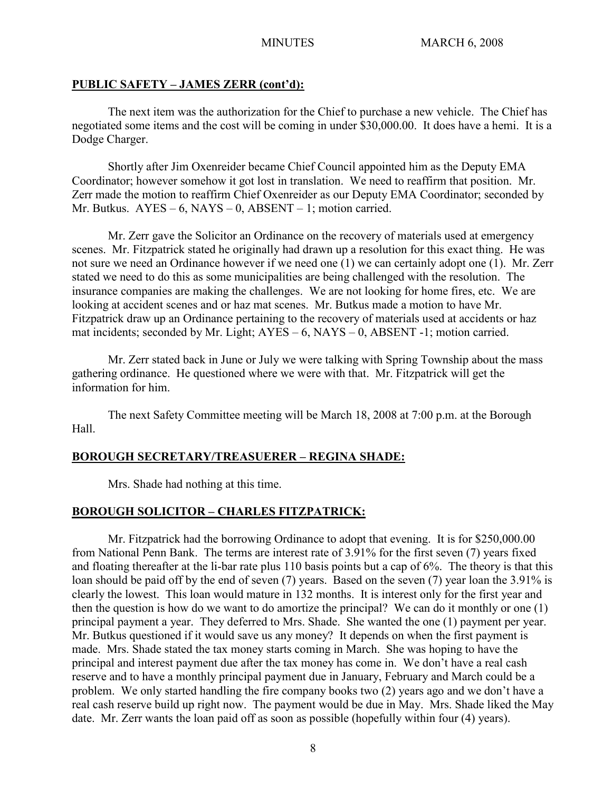## **PUBLIC SAFETY – JAMES ZERR (cont'd):**

The next item was the authorization for the Chief to purchase a new vehicle. The Chief has negotiated some items and the cost will be coming in under \$30,000.00. It does have a hemi. It is a Dodge Charger.

Shortly after Jim Oxenreider became Chief Council appointed him as the Deputy EMA Coordinator; however somehow it got lost in translation. We need to reaffirm that position. Mr. Zerr made the motion to reaffirm Chief Oxenreider as our Deputy EMA Coordinator; seconded by Mr. Butkus. AYES – 6, NAYS – 0, ABSENT – 1; motion carried.

Mr. Zerr gave the Solicitor an Ordinance on the recovery of materials used at emergency scenes. Mr. Fitzpatrick stated he originally had drawn up a resolution for this exact thing. He was not sure we need an Ordinance however if we need one (1) we can certainly adopt one (1). Mr. Zerr stated we need to do this as some municipalities are being challenged with the resolution. The insurance companies are making the challenges. We are not looking for home fires, etc. We are looking at accident scenes and or haz mat scenes. Mr. Butkus made a motion to have Mr. Fitzpatrick draw up an Ordinance pertaining to the recovery of materials used at accidents or haz mat incidents; seconded by Mr. Light;  $AYES - 6$ ,  $NAYS - 0$ ,  $ABSENT -1$ ; motion carried.

Mr. Zerr stated back in June or July we were talking with Spring Township about the mass gathering ordinance. He questioned where we were with that. Mr. Fitzpatrick will get the information for him.

The next Safety Committee meeting will be March 18, 2008 at 7:00 p.m. at the Borough Hall.

## **BOROUGH SECRETARY/TREASUERER – REGINA SHADE:**

Mrs. Shade had nothing at this time.

## **BOROUGH SOLICITOR – CHARLES FITZPATRICK:**

Mr. Fitzpatrick had the borrowing Ordinance to adopt that evening. It is for \$250,000.00 from National Penn Bank. The terms are interest rate of 3.91% for the first seven (7) years fixed and floating thereafter at the li-bar rate plus 110 basis points but a cap of 6%. The theory is that this loan should be paid off by the end of seven (7) years. Based on the seven (7) year loan the 3.91% is clearly the lowest. This loan would mature in 132 months. It is interest only for the first year and then the question is how do we want to do amortize the principal? We can do it monthly or one (1) principal payment a year. They deferred to Mrs. Shade. She wanted the one (1) payment per year. Mr. Butkus questioned if it would save us any money? It depends on when the first payment is made. Mrs. Shade stated the tax money starts coming in March. She was hoping to have the principal and interest payment due after the tax money has come in. We don't have a real cash reserve and to have a monthly principal payment due in January, February and March could be a problem. We only started handling the fire company books two (2) years ago and we don't have a real cash reserve build up right now. The payment would be due in May. Mrs. Shade liked the May date. Mr. Zerr wants the loan paid off as soon as possible (hopefully within four (4) years).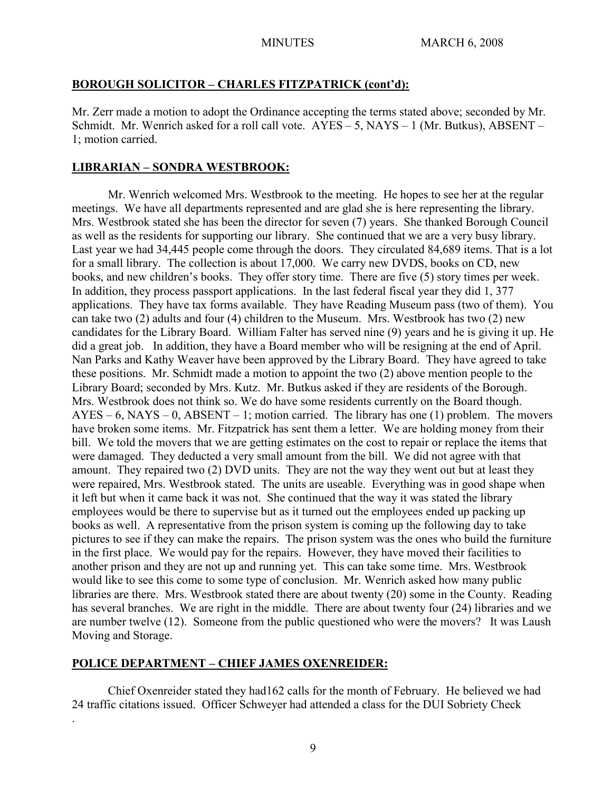# **BOROUGH SOLICITOR – CHARLES FITZPATRICK (cont'd):**

Mr. Zerr made a motion to adopt the Ordinance accepting the terms stated above; seconded by Mr. Schmidt. Mr. Wenrich asked for a roll call vote.  $AYES - 5$ ,  $NAYS - 1$  (Mr. Butkus),  $ABSENT - 1$ 1; motion carried.

## **LIBRARIAN – SONDRA WESTBROOK:**

Mr. Wenrich welcomed Mrs. Westbrook to the meeting. He hopes to see her at the regular meetings. We have all departments represented and are glad she is here representing the library. Mrs. Westbrook stated she has been the director for seven (7) years. She thanked Borough Council as well as the residents for supporting our library. She continued that we are a very busy library. Last year we had 34,445 people come through the doors. They circulated 84,689 items. That is a lot for a small library. The collection is about 17,000. We carry new DVDS, books on CD, new books, and new children's books. They offer story time. There are five (5) story times per week. In addition, they process passport applications. In the last federal fiscal year they did 1, 377 applications. They have tax forms available. They have Reading Museum pass (two of them). You can take two (2) adults and four (4) children to the Museum. Mrs. Westbrook has two (2) new candidates for the Library Board. William Falter has served nine (9) years and he is giving it up. He did a great job. In addition, they have a Board member who will be resigning at the end of April. Nan Parks and Kathy Weaver have been approved by the Library Board. They have agreed to take these positions. Mr. Schmidt made a motion to appoint the two (2) above mention people to the Library Board; seconded by Mrs. Kutz. Mr. Butkus asked if they are residents of the Borough. Mrs. Westbrook does not think so. We do have some residents currently on the Board though.  $AYES - 6$ ,  $NAYS - 0$ ,  $ABSENT - 1$ ; motion carried. The library has one (1) problem. The movers have broken some items. Mr. Fitzpatrick has sent them a letter. We are holding money from their bill. We told the movers that we are getting estimates on the cost to repair or replace the items that were damaged. They deducted a very small amount from the bill. We did not agree with that amount. They repaired two (2) DVD units. They are not the way they went out but at least they were repaired, Mrs. Westbrook stated. The units are useable. Everything was in good shape when it left but when it came back it was not. She continued that the way it was stated the library employees would be there to supervise but as it turned out the employees ended up packing up books as well. A representative from the prison system is coming up the following day to take pictures to see if they can make the repairs. The prison system was the ones who build the furniture in the first place. We would pay for the repairs. However, they have moved their facilities to another prison and they are not up and running yet. This can take some time. Mrs. Westbrook would like to see this come to some type of conclusion. Mr. Wenrich asked how many public libraries are there. Mrs. Westbrook stated there are about twenty (20) some in the County. Reading has several branches. We are right in the middle. There are about twenty four (24) libraries and we are number twelve (12). Someone from the public questioned who were the movers? It was Laush Moving and Storage.

# **POLICE DEPARTMENT – CHIEF JAMES OXENREIDER:**

.

Chief Oxenreider stated they had162 calls for the month of February. He believed we had 24 traffic citations issued. Officer Schweyer had attended a class for the DUI Sobriety Check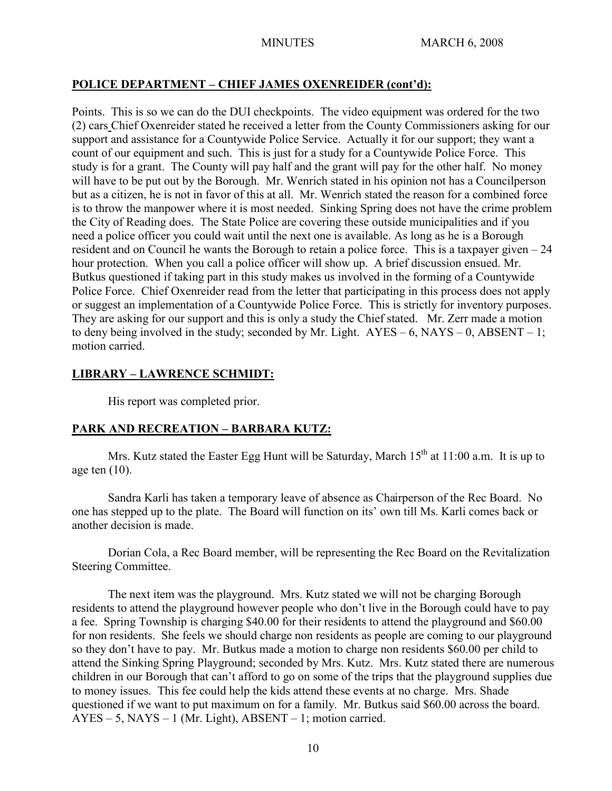# **POLICE DEPARTMENT – CHIEF JAMES OXENREIDER (cont'd):**

Points. This is so we can do the DUI checkpoints. The video equipment was ordered for the two (2) cars Chief Oxenreider stated he received a letter from the County Commissioners asking for our support and assistance for a Countywide Police Service. Actually it for our support; they want a count of our equipment and such. This is just for a study for a Countywide Police Force. This study is for a grant. The County will pay half and the grant will pay for the other half. No money will have to be put out by the Borough. Mr. Wenrich stated in his opinion not has a Councilperson but as a citizen, he is not in favor of this at all. Mr. Wenrich stated the reason for a combined force is to throw the manpower where it is most needed. Sinking Spring does not have the crime problem the City of Reading does. The State Police are covering these outside municipalities and if you need a police officer you could wait until the next one is available. As long as he is a Borough resident and on Council he wants the Borough to retain a police force. This is a taxpayer given – 24 hour protection. When you call a police officer will show up. A brief discussion ensued. Mr. Butkus questioned if taking part in this study makes us involved in the forming of a Countywide Police Force. Chief Oxenreider read from the letter that participating in this process does not apply or suggest an implementation of a Countywide Police Force. This is strictly for inventory purposes. They are asking for our support and this is only a study the Chief stated. Mr. Zerr made a motion to deny being involved in the study; seconded by Mr. Light.  $AYES - 6$ ,  $NAYS - 0$ ,  $ABSENT - 1$ ; motion carried.

# **LIBRARY – LAWRENCE SCHMIDT:**

His report was completed prior.

# **PARK AND RECREATION – BARBARA KUTZ:**

Mrs. Kutz stated the Easter Egg Hunt will be Saturday, March  $15<sup>th</sup>$  at  $11:00$  a.m. It is up to age ten  $(10)$ .

Sandra Karli has taken a temporary leave of absence as Chairperson of the Rec Board. No one has stepped up to the plate. The Board will function on its' own till Ms. Karli comes back or another decision is made.

Dorian Cola, a Rec Board member, will be representing the Rec Board on the Revitalization Steering Committee.

The next item was the playground. Mrs. Kutz stated we will not be charging Borough residents to attend the playground however people who don't live in the Borough could have to pay a fee. Spring Township is charging \$40.00 for their residents to attend the playground and \$60.00 for non residents. She feels we should charge non residents as people are coming to our playground so they don't have to pay. Mr. Butkus made a motion to charge non residents \$60.00 per child to attend the Sinking Spring Playground; seconded by Mrs. Kutz. Mrs. Kutz stated there are numerous children in our Borough that can't afford to go on some of the trips that the playground supplies due to money issues. This fee could help the kids attend these events at no charge. Mrs. Shade questioned if we want to put maximum on for a family. Mr. Butkus said \$60.00 across the board. AYES – 5, NAYS – 1 (Mr. Light), ABSENT – 1; motion carried.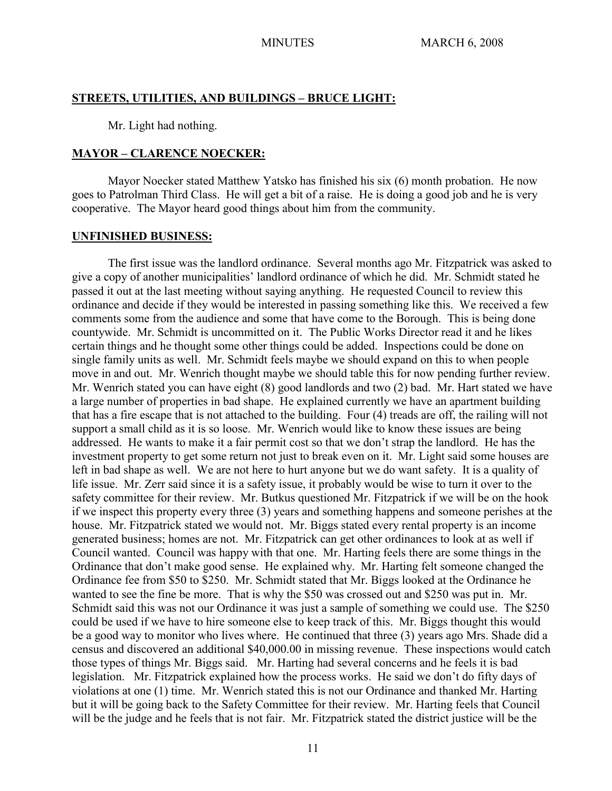#### **STREETS, UTILITIES, AND BUILDINGS – BRUCE LIGHT:**

Mr. Light had nothing.

#### **MAYOR – CLARENCE NOECKER:**

Mayor Noecker stated Matthew Yatsko has finished his six (6) month probation. He now goes to Patrolman Third Class. He will get a bit of a raise. He is doing a good job and he is very cooperative. The Mayor heard good things about him from the community.

#### **UNFINISHED BUSINESS:**

The first issue was the landlord ordinance. Several months ago Mr. Fitzpatrick was asked to give a copy of another municipalities' landlord ordinance of which he did. Mr. Schmidt stated he passed it out at the last meeting without saying anything. He requested Council to review this ordinance and decide if they would be interested in passing something like this. We received a few comments some from the audience and some that have come to the Borough. This is being done countywide. Mr. Schmidt is uncommitted on it. The Public Works Director read it and he likes certain things and he thought some other things could be added. Inspections could be done on single family units as well. Mr. Schmidt feels maybe we should expand on this to when people move in and out. Mr. Wenrich thought maybe we should table this for now pending further review. Mr. Wenrich stated you can have eight (8) good landlords and two (2) bad. Mr. Hart stated we have a large number of properties in bad shape. He explained currently we have an apartment building that has a fire escape that is not attached to the building. Four (4) treads are off, the railing will not support a small child as it is so loose. Mr. Wenrich would like to know these issues are being addressed. He wants to make it a fair permit cost so that we don't strap the landlord. He has the investment property to get some return not just to break even on it. Mr. Light said some houses are left in bad shape as well. We are not here to hurt anyone but we do want safety. It is a quality of life issue. Mr. Zerr said since it is a safety issue, it probably would be wise to turn it over to the safety committee for their review. Mr. Butkus questioned Mr. Fitzpatrick if we will be on the hook if we inspect this property every three (3) years and something happens and someone perishes at the house. Mr. Fitzpatrick stated we would not. Mr. Biggs stated every rental property is an income generated business; homes are not. Mr. Fitzpatrick can get other ordinances to look at as well if Council wanted. Council was happy with that one. Mr. Harting feels there are some things in the Ordinance that don't make good sense. He explained why. Mr. Harting felt someone changed the Ordinance fee from \$50 to \$250. Mr. Schmidt stated that Mr. Biggs looked at the Ordinance he wanted to see the fine be more. That is why the \$50 was crossed out and \$250 was put in. Mr. Schmidt said this was not our Ordinance it was just a sample of something we could use. The \$250 could be used if we have to hire someone else to keep track of this. Mr. Biggs thought this would be a good way to monitor who lives where. He continued that three (3) years ago Mrs. Shade did a census and discovered an additional \$40,000.00 in missing revenue. These inspections would catch those types of things Mr. Biggs said. Mr. Harting had several concerns and he feels it is bad legislation. Mr. Fitzpatrick explained how the process works. He said we don't do fifty days of violations at one (1) time. Mr. Wenrich stated this is not our Ordinance and thanked Mr. Harting but it will be going back to the Safety Committee for their review. Mr. Harting feels that Council will be the judge and he feels that is not fair. Mr. Fitzpatrick stated the district justice will be the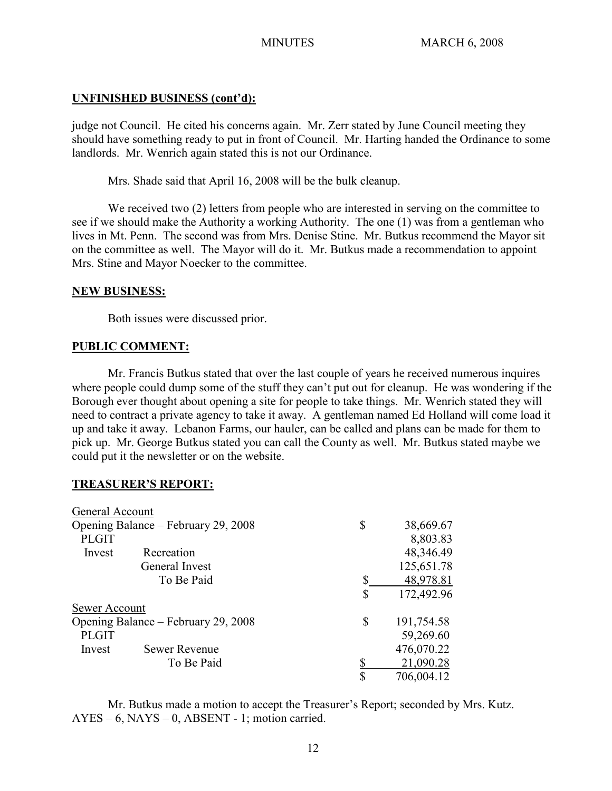## **UNFINISHED BUSINESS (cont'd):**

judge not Council. He cited his concerns again. Mr. Zerr stated by June Council meeting they should have something ready to put in front of Council. Mr. Harting handed the Ordinance to some landlords. Mr. Wenrich again stated this is not our Ordinance.

Mrs. Shade said that April 16, 2008 will be the bulk cleanup.

We received two (2) letters from people who are interested in serving on the committee to see if we should make the Authority a working Authority. The one (1) was from a gentleman who lives in Mt. Penn. The second was from Mrs. Denise Stine. Mr. Butkus recommend the Mayor sit on the committee as well. The Mayor will do it. Mr. Butkus made a recommendation to appoint Mrs. Stine and Mayor Noecker to the committee.

## **NEW BUSINESS:**

Both issues were discussed prior.

## **PUBLIC COMMENT:**

Mr. Francis Butkus stated that over the last couple of years he received numerous inquires where people could dump some of the stuff they can't put out for cleanup. He was wondering if the Borough ever thought about opening a site for people to take things. Mr. Wenrich stated they will need to contract a private agency to take it away. A gentleman named Ed Holland will come load it up and take it away. Lebanon Farms, our hauler, can be called and plans can be made for them to pick up. Mr. George Butkus stated you can call the County as well. Mr. Butkus stated maybe we could put it the newsletter or on the website.

## **TREASURER'S REPORT:**

| General Account                     |                      |                  |
|-------------------------------------|----------------------|------------------|
| Opening Balance – February 29, 2008 |                      | \$<br>38,669.67  |
| <b>PLGIT</b>                        |                      | 8,803.83         |
| Invest                              | Recreation           | 48,346.49        |
|                                     | General Invest       | 125,651.78       |
|                                     | To Be Paid           | \$<br>48,978.81  |
|                                     |                      | \$<br>172,492.96 |
| Sewer Account                       |                      |                  |
| Opening Balance – February 29, 2008 |                      | \$<br>191,754.58 |
| <b>PLGIT</b>                        |                      | 59,269.60        |
| Invest                              | <b>Sewer Revenue</b> | 476,070.22       |
|                                     | To Be Paid           | 21,090.28        |
|                                     |                      | \$<br>706,004.12 |

Mr. Butkus made a motion to accept the Treasurer's Report; seconded by Mrs. Kutz. AYES – 6, NAYS – 0, ABSENT - 1; motion carried.